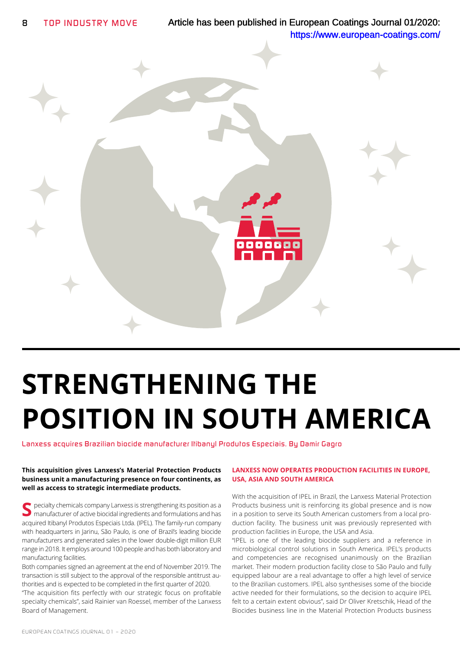

# **STRENGTHENING THE POSITION IN SOUTH AMERICA**

*Lanxess acquires Brazilian biocide manufacturer Itibanyl Produtos Especiais. By Damir Gagro*

#### **This acquisition gives Lanxess's Material Protection Products business unit a manufacturing presence on four continents, as well as access to strategic intermediate products.**

S<br>
Secret perialty chemicals company Lanxess is strengthening its position as a<br>
Secret manufacturer of active biocidal ingredients and formulations and has acquired Itibanyl Produtos Especiais Ltda. (IPEL). The family-run company with headquarters in Jarinu, São Paulo, is one of Brazil's leading biocide manufacturers and generated sales in the lower double-digit million EUR range in 2018. It employs around 100 people and has both laboratory and manufacturing facilities.

Both companies signed an agreement at the end of November 2019. The transaction is still subject to the approval of the responsible antitrust authorities and is expected to be completed in the first quarter of 2020.

"The acquisition fits perfectly with our strategic focus on profitable specialty chemicals", said Rainier van Roessel, member of the Lanxess Board of Management.

## **LANXESS NOW OPERATES PRODUCTION FACILITIES IN EUROPE, USA, ASIA AND SOUTH AMERICA**

With the acquisition of IPEL in Brazil, the Lanxess Material Protection Products business unit is reinforcing its global presence and is now in a position to serve its South American customers from a local production facility. The business unit was previously represented with production facilities in Europe, the USA and Asia.

"IPEL is one of the leading biocide suppliers and a reference in microbiological control solutions in South America. IPEL's products and competencies are recognised unanimously on the Brazilian market. Their modern production facility close to São Paulo and fully equipped labour are a real advantage to offer a high level of service to the Brazilian customers. IPEL also synthesises some of the biocide active needed for their formulations, so the decision to acquire IPEL felt to a certain extent obvious", said Dr Oliver Kretschik, Head of the Biocides business line in the Material Protection Products business